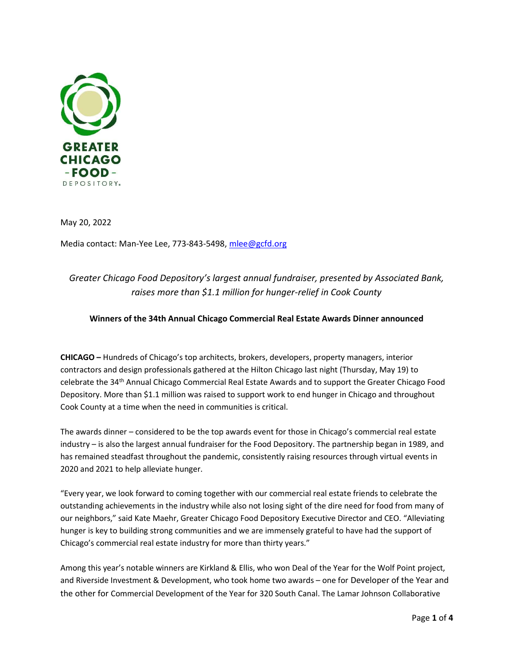

May 20, 2022

Media contact: Man-Yee Lee, 773-843-5498, mlee@gcfd.org

# Greater Chicago Food Depository's largest annual fundraiser, presented by Associated Bank, raises more than \$1.1 million for hunger-relief in Cook County

# Winners of the 34th Annual Chicago Commercial Real Estate Awards Dinner announced

CHICAGO – Hundreds of Chicago's top architects, brokers, developers, property managers, interior contractors and design professionals gathered at the Hilton Chicago last night (Thursday, May 19) to celebrate the 34th Annual Chicago Commercial Real Estate Awards and to support the Greater Chicago Food Depository. More than \$1.1 million was raised to support work to end hunger in Chicago and throughout Cook County at a time when the need in communities is critical.

The awards dinner – considered to be the top awards event for those in Chicago's commercial real estate industry – is also the largest annual fundraiser for the Food Depository. The partnership began in 1989, and has remained steadfast throughout the pandemic, consistently raising resources through virtual events in 2020 and 2021 to help alleviate hunger.

"Every year, we look forward to coming together with our commercial real estate friends to celebrate the outstanding achievements in the industry while also not losing sight of the dire need for food from many of our neighbors," said Kate Maehr, Greater Chicago Food Depository Executive Director and CEO. "Alleviating hunger is key to building strong communities and we are immensely grateful to have had the support of Chicago's commercial real estate industry for more than thirty years."

Among this year's notable winners are Kirkland & Ellis, who won Deal of the Year for the Wolf Point project, and Riverside Investment & Development, who took home two awards – one for Developer of the Year and the other for Commercial Development of the Year for 320 South Canal. The Lamar Johnson Collaborative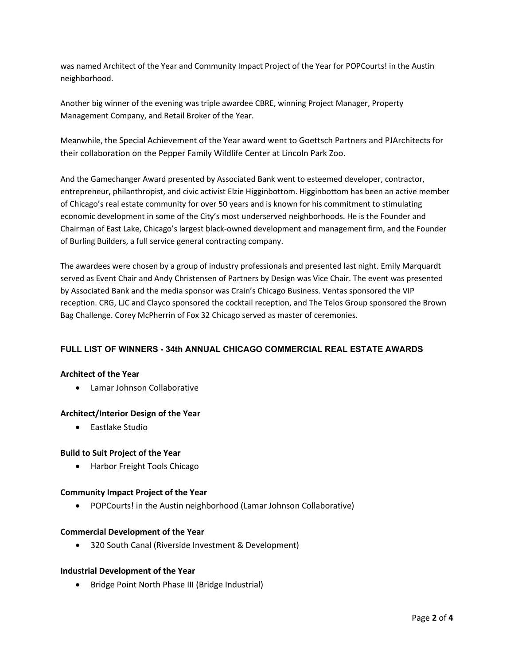was named Architect of the Year and Community Impact Project of the Year for POPCourts! in the Austin neighborhood.

Another big winner of the evening was triple awardee CBRE, winning Project Manager, Property Management Company, and Retail Broker of the Year.

Meanwhile, the Special Achievement of the Year award went to Goettsch Partners and PJArchitects for their collaboration on the Pepper Family Wildlife Center at Lincoln Park Zoo.

And the Gamechanger Award presented by Associated Bank went to esteemed developer, contractor, entrepreneur, philanthropist, and civic activist Elzie Higginbottom. Higginbottom has been an active member of Chicago's real estate community for over 50 years and is known for his commitment to stimulating economic development in some of the City's most underserved neighborhoods. He is the Founder and Chairman of East Lake, Chicago's largest black-owned development and management firm, and the Founder of Burling Builders, a full service general contracting company.

The awardees were chosen by a group of industry professionals and presented last night. Emily Marquardt served as Event Chair and Andy Christensen of Partners by Design was Vice Chair. The event was presented by Associated Bank and the media sponsor was Crain's Chicago Business. Ventas sponsored the VIP reception. CRG, LJC and Clayco sponsored the cocktail reception, and The Telos Group sponsored the Brown Bag Challenge. Corey McPherrin of Fox 32 Chicago served as master of ceremonies.

# FULL LIST OF WINNERS - 34th ANNUAL CHICAGO COMMERCIAL REAL ESTATE AWARDS

#### Architect of the Year

Lamar Johnson Collaborative

#### Architect/Interior Design of the Year

Eastlake Studio

#### Build to Suit Project of the Year

Harbor Freight Tools Chicago

#### Community Impact Project of the Year

POPCourts! in the Austin neighborhood (Lamar Johnson Collaborative)

#### Commercial Development of the Year

320 South Canal (Riverside Investment & Development)

#### Industrial Development of the Year

• Bridge Point North Phase III (Bridge Industrial)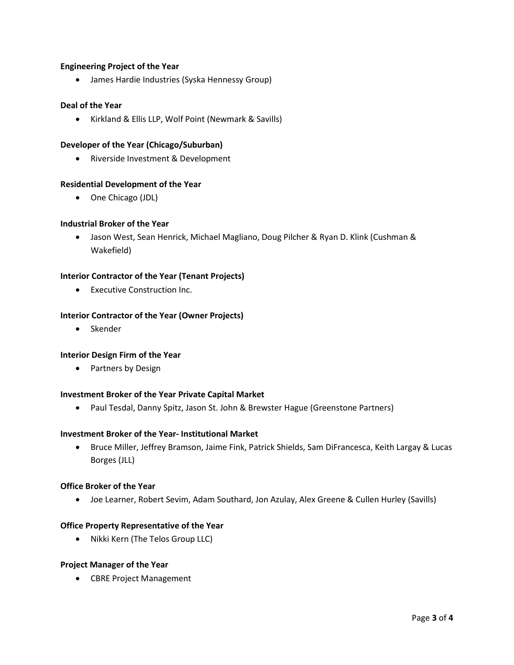# Engineering Project of the Year

James Hardie Industries (Syska Hennessy Group)

#### Deal of the Year

Kirkland & Ellis LLP, Wolf Point (Newmark & Savills)

#### Developer of the Year (Chicago/Suburban)

Riverside Investment & Development

# Residential Development of the Year

• One Chicago (JDL)

#### Industrial Broker of the Year

 Jason West, Sean Henrick, Michael Magliano, Doug Pilcher & Ryan D. Klink (Cushman & Wakefield)

#### Interior Contractor of the Year (Tenant Projects)

Executive Construction Inc.

#### Interior Contractor of the Year (Owner Projects)

• Skender

#### Interior Design Firm of the Year

• Partners by Design

#### Investment Broker of the Year Private Capital Market

• Paul Tesdal, Danny Spitz, Jason St. John & Brewster Hague (Greenstone Partners)

#### Investment Broker of the Year- Institutional Market

 Bruce Miller, Jeffrey Bramson, Jaime Fink, Patrick Shields, Sam DiFrancesca, Keith Largay & Lucas Borges (JLL)

#### Office Broker of the Year

Joe Learner, Robert Sevim, Adam Southard, Jon Azulay, Alex Greene & Cullen Hurley (Savills)

#### Office Property Representative of the Year

• Nikki Kern (The Telos Group LLC)

# Project Manager of the Year

CBRE Project Management